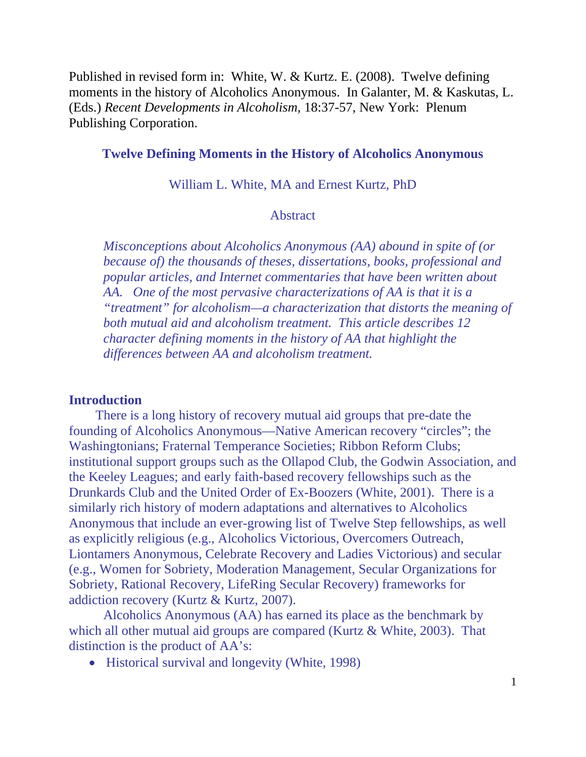Published in revised form in: White, W. & Kurtz. E. (2008). Twelve defining moments in the history of Alcoholics Anonymous. In Galanter, M. & Kaskutas, L. (Eds.) *Recent Developments in Alcoholism,* 18:37-57, New York: Plenum Publishing Corporation.

### **Twelve Defining Moments in the History of Alcoholics Anonymous**

William L. White, MA and Ernest Kurtz, PhD

### Abstract

*Misconceptions about Alcoholics Anonymous (AA) abound in spite of (or because of) the thousands of theses, dissertations, books, professional and popular articles, and Internet commentaries that have been written about AA. One of the most pervasive characterizations of AA is that it is a "treatment" for alcoholism—a characterization that distorts the meaning of both mutual aid and alcoholism treatment. This article describes 12 character defining moments in the history of AA that highlight the differences between AA and alcoholism treatment.* 

# **Introduction**

 There is a long history of recovery mutual aid groups that pre-date the founding of Alcoholics Anonymous—Native American recovery "circles"; the Washingtonians; Fraternal Temperance Societies; Ribbon Reform Clubs; institutional support groups such as the Ollapod Club, the Godwin Association, and the Keeley Leagues; and early faith-based recovery fellowships such as the Drunkards Club and the United Order of Ex-Boozers (White, 2001). There is a similarly rich history of modern adaptations and alternatives to Alcoholics Anonymous that include an ever-growing list of Twelve Step fellowships, as well as explicitly religious (e.g., Alcoholics Victorious, Overcomers Outreach, Liontamers Anonymous, Celebrate Recovery and Ladies Victorious) and secular (e.g., Women for Sobriety, Moderation Management, Secular Organizations for Sobriety, Rational Recovery, LifeRing Secular Recovery) frameworks for addiction recovery (Kurtz & Kurtz, 2007).

 Alcoholics Anonymous (AA) has earned its place as the benchmark by which all other mutual aid groups are compared (Kurtz & White, 2003). That distinction is the product of AA's:

• Historical survival and longevity (White, 1998)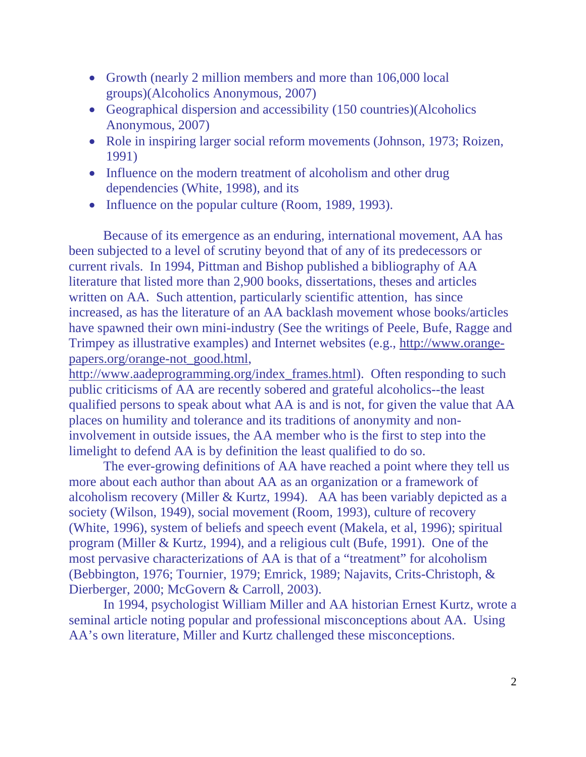- Growth (nearly 2 million members and more than 106,000 local groups)(Alcoholics Anonymous, 2007)
- Geographical dispersion and accessibility (150 countries)(Alcoholics Anonymous, 2007)
- Role in inspiring larger social reform movements (Johnson, 1973; Roizen, 1991)
- Influence on the modern treatment of alcoholism and other drug dependencies (White, 1998), and its
- Influence on the popular culture (Room, 1989, 1993).

 Because of its emergence as an enduring, international movement, AA has been subjected to a level of scrutiny beyond that of any of its predecessors or current rivals. In 1994, Pittman and Bishop published a bibliography of AA literature that listed more than 2,900 books, dissertations, theses and articles written on AA. Such attention, particularly scientific attention, has since increased, as has the literature of an AA backlash movement whose books/articles have spawned their own mini-industry (See the writings of Peele, Bufe, Ragge and Trimpey as illustrative examples) and Internet websites (e.g., [http://www.orange](http://www.orange-papers.org/orange-not_good.html)[papers.org/orange-not\\_good.html](http://www.orange-papers.org/orange-not_good.html),

[http://www.aadeprogramming.org/index\\_frames.html](http://www.aadeprogramming.org/index_frames.html)). Often responding to such public criticisms of AA are recently sobered and grateful alcoholics--the least qualified persons to speak about what AA is and is not, for given the value that AA places on humility and tolerance and its traditions of anonymity and noninvolvement in outside issues, the AA member who is the first to step into the limelight to defend AA is by definition the least qualified to do so.

 The ever-growing definitions of AA have reached a point where they tell us more about each author than about AA as an organization or a framework of alcoholism recovery (Miller & Kurtz, 1994). AA has been variably depicted as a society (Wilson, 1949), social movement (Room, 1993), culture of recovery (White, 1996), system of beliefs and speech event (Makela, et al, 1996); spiritual program (Miller & Kurtz, 1994), and a religious cult (Bufe, 1991). One of the most pervasive characterizations of AA is that of a "treatment" for alcoholism (Bebbington, 1976; Tournier, 1979; Emrick, 1989; Najavits, Crits-Christoph, & Dierberger, 2000; McGovern & Carroll, 2003).

 In 1994, psychologist William Miller and AA historian Ernest Kurtz, wrote a seminal article noting popular and professional misconceptions about AA. Using AA's own literature, Miller and Kurtz challenged these misconceptions.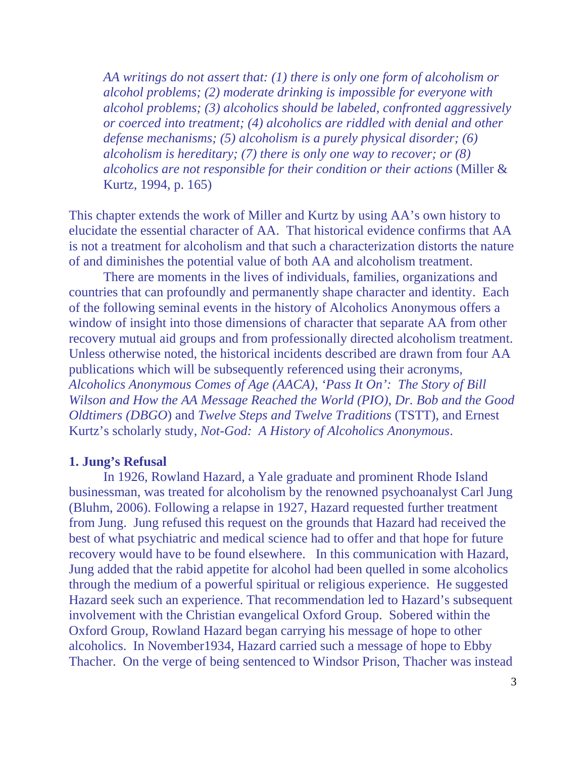*AA writings do not assert that: (1) there is only one form of alcoholism or alcohol problems; (2) moderate drinking is impossible for everyone with alcohol problems; (3) alcoholics should be labeled, confronted aggressively or coerced into treatment; (4) alcoholics are riddled with denial and other defense mechanisms; (5) alcoholism is a purely physical disorder; (6) alcoholism is hereditary; (7) there is only one way to recover; or (8) alcoholics are not responsible for their condition or their actions* (Miller & Kurtz, 1994, p. 165)

This chapter extends the work of Miller and Kurtz by using AA's own history to elucidate the essential character of AA. That historical evidence confirms that AA is not a treatment for alcoholism and that such a characterization distorts the nature of and diminishes the potential value of both AA and alcoholism treatment.

 There are moments in the lives of individuals, families, organizations and countries that can profoundly and permanently shape character and identity. Each of the following seminal events in the history of Alcoholics Anonymous offers a window of insight into those dimensions of character that separate AA from other recovery mutual aid groups and from professionally directed alcoholism treatment. Unless otherwise noted, the historical incidents described are drawn from four AA publications which will be subsequently referenced using their acronyms, *Alcoholics Anonymous Comes of Age (AACA)*, *'Pass It On': The Story of Bill Wilson and How the AA Message Reached the World (PIO)*, *Dr. Bob and the Good Oldtimers (DBGO*) and *Twelve Steps and Twelve Traditions* (TSTT), and Ernest Kurtz's scholarly study, *Not-God: A History of Alcoholics Anonymous*.

### **1. Jung's Refusal**

 In 1926, Rowland Hazard, a Yale graduate and prominent Rhode Island businessman, was treated for alcoholism by the renowned psychoanalyst Carl Jung (Bluhm, 2006). Following a relapse in 1927, Hazard requested further treatment from Jung. Jung refused this request on the grounds that Hazard had received the best of what psychiatric and medical science had to offer and that hope for future recovery would have to be found elsewhere. In this communication with Hazard, Jung added that the rabid appetite for alcohol had been quelled in some alcoholics through the medium of a powerful spiritual or religious experience. He suggested Hazard seek such an experience. That recommendation led to Hazard's subsequent involvement with the Christian evangelical Oxford Group. Sobered within the Oxford Group, Rowland Hazard began carrying his message of hope to other alcoholics. In November1934, Hazard carried such a message of hope to Ebby Thacher. On the verge of being sentenced to Windsor Prison, Thacher was instead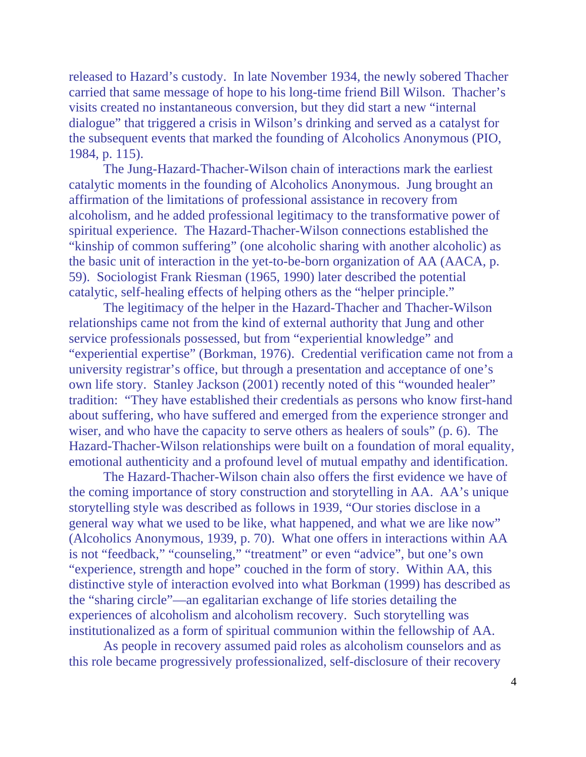released to Hazard's custody. In late November 1934, the newly sobered Thacher carried that same message of hope to his long-time friend Bill Wilson. Thacher's visits created no instantaneous conversion, but they did start a new "internal dialogue" that triggered a crisis in Wilson's drinking and served as a catalyst for the subsequent events that marked the founding of Alcoholics Anonymous (PIO, 1984, p. 115).

 The Jung-Hazard-Thacher-Wilson chain of interactions mark the earliest catalytic moments in the founding of Alcoholics Anonymous. Jung brought an affirmation of the limitations of professional assistance in recovery from alcoholism, and he added professional legitimacy to the transformative power of spiritual experience. The Hazard-Thacher-Wilson connections established the "kinship of common suffering" (one alcoholic sharing with another alcoholic) as the basic unit of interaction in the yet-to-be-born organization of AA (AACA, p. 59). Sociologist Frank Riesman (1965, 1990) later described the potential catalytic, self-healing effects of helping others as the "helper principle."

 The legitimacy of the helper in the Hazard-Thacher and Thacher-Wilson relationships came not from the kind of external authority that Jung and other service professionals possessed, but from "experiential knowledge" and "experiential expertise" (Borkman, 1976). Credential verification came not from a university registrar's office, but through a presentation and acceptance of one's own life story. Stanley Jackson (2001) recently noted of this "wounded healer" tradition: "They have established their credentials as persons who know first-hand about suffering, who have suffered and emerged from the experience stronger and wiser, and who have the capacity to serve others as healers of souls" (p. 6). The Hazard-Thacher-Wilson relationships were built on a foundation of moral equality, emotional authenticity and a profound level of mutual empathy and identification.

 The Hazard-Thacher-Wilson chain also offers the first evidence we have of the coming importance of story construction and storytelling in AA. AA's unique storytelling style was described as follows in 1939, "Our stories disclose in a general way what we used to be like, what happened, and what we are like now" (Alcoholics Anonymous, 1939, p. 70). What one offers in interactions within AA is not "feedback," "counseling," "treatment" or even "advice", but one's own "experience, strength and hope" couched in the form of story. Within AA, this distinctive style of interaction evolved into what Borkman (1999) has described as the "sharing circle"—an egalitarian exchange of life stories detailing the experiences of alcoholism and alcoholism recovery. Such storytelling was institutionalized as a form of spiritual communion within the fellowship of AA.

 As people in recovery assumed paid roles as alcoholism counselors and as this role became progressively professionalized, self-disclosure of their recovery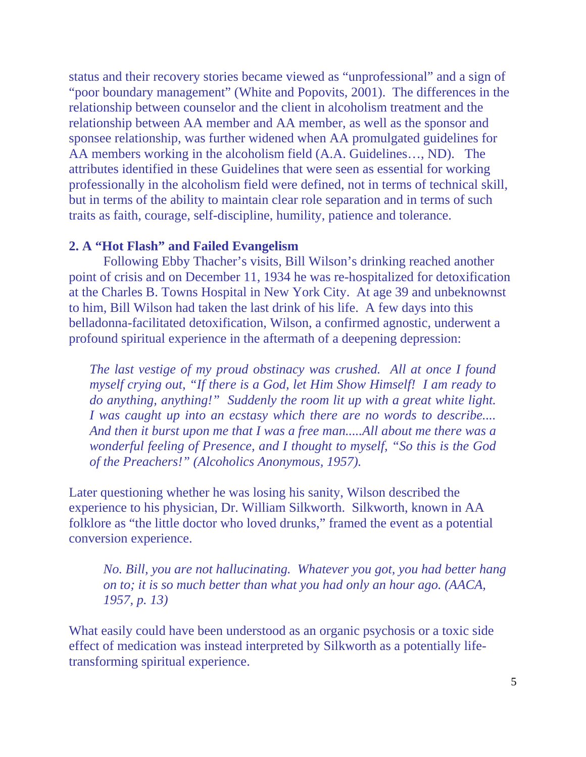status and their recovery stories became viewed as "unprofessional" and a sign of "poor boundary management" (White and Popovits, 2001). The differences in the relationship between counselor and the client in alcoholism treatment and the relationship between AA member and AA member, as well as the sponsor and sponsee relationship, was further widened when AA promulgated guidelines for AA members working in the alcoholism field (A.A. Guidelines…, ND). The attributes identified in these Guidelines that were seen as essential for working professionally in the alcoholism field were defined, not in terms of technical skill, but in terms of the ability to maintain clear role separation and in terms of such traits as faith, courage, self-discipline, humility, patience and tolerance.

# **2. A "Hot Flash" and Failed Evangelism**

 Following Ebby Thacher's visits, Bill Wilson's drinking reached another point of crisis and on December 11, 1934 he was re-hospitalized for detoxification at the Charles B. Towns Hospital in New York City. At age 39 and unbeknownst to him, Bill Wilson had taken the last drink of his life. A few days into this belladonna-facilitated detoxification, Wilson, a confirmed agnostic, underwent a profound spiritual experience in the aftermath of a deepening depression:

*The last vestige of my proud obstinacy was crushed. All at once I found myself crying out, "If there is a God, let Him Show Himself! I am ready to do anything, anything!" Suddenly the room lit up with a great white light. I was caught up into an ecstasy which there are no words to describe.... And then it burst upon me that I was a free man.....All about me there was a wonderful feeling of Presence, and I thought to myself, "So this is the God of the Preachers!" (Alcoholics Anonymous, 1957).* 

Later questioning whether he was losing his sanity, Wilson described the experience to his physician, Dr. William Silkworth. Silkworth, known in AA folklore as "the little doctor who loved drunks," framed the event as a potential conversion experience.

*No. Bill, you are not hallucinating. Whatever you got, you had better hang on to; it is so much better than what you had only an hour ago. (AACA, 1957, p. 13)* 

What easily could have been understood as an organic psychosis or a toxic side effect of medication was instead interpreted by Silkworth as a potentially lifetransforming spiritual experience.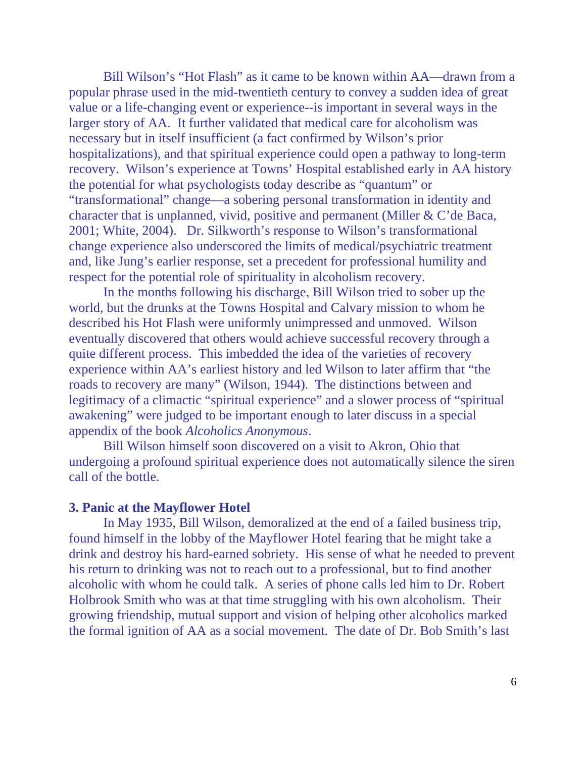Bill Wilson's "Hot Flash" as it came to be known within AA—drawn from a popular phrase used in the mid-twentieth century to convey a sudden idea of great value or a life-changing event or experience--is important in several ways in the larger story of AA. It further validated that medical care for alcoholism was necessary but in itself insufficient (a fact confirmed by Wilson's prior hospitalizations), and that spiritual experience could open a pathway to long-term recovery. Wilson's experience at Towns' Hospital established early in AA history the potential for what psychologists today describe as "quantum" or "transformational" change—a sobering personal transformation in identity and character that is unplanned, vivid, positive and permanent (Miller & C'de Baca, 2001; White, 2004). Dr. Silkworth's response to Wilson's transformational change experience also underscored the limits of medical/psychiatric treatment and, like Jung's earlier response, set a precedent for professional humility and respect for the potential role of spirituality in alcoholism recovery.

 In the months following his discharge, Bill Wilson tried to sober up the world, but the drunks at the Towns Hospital and Calvary mission to whom he described his Hot Flash were uniformly unimpressed and unmoved. Wilson eventually discovered that others would achieve successful recovery through a quite different process. This imbedded the idea of the varieties of recovery experience within AA's earliest history and led Wilson to later affirm that "the roads to recovery are many" (Wilson, 1944). The distinctions between and legitimacy of a climactic "spiritual experience" and a slower process of "spiritual awakening" were judged to be important enough to later discuss in a special appendix of the book *Alcoholics Anonymous*.

 Bill Wilson himself soon discovered on a visit to Akron, Ohio that undergoing a profound spiritual experience does not automatically silence the siren call of the bottle.

#### **3. Panic at the Mayflower Hotel**

 In May 1935, Bill Wilson, demoralized at the end of a failed business trip, found himself in the lobby of the Mayflower Hotel fearing that he might take a drink and destroy his hard-earned sobriety. His sense of what he needed to prevent his return to drinking was not to reach out to a professional, but to find another alcoholic with whom he could talk. A series of phone calls led him to Dr. Robert Holbrook Smith who was at that time struggling with his own alcoholism. Their growing friendship, mutual support and vision of helping other alcoholics marked the formal ignition of AA as a social movement. The date of Dr. Bob Smith's last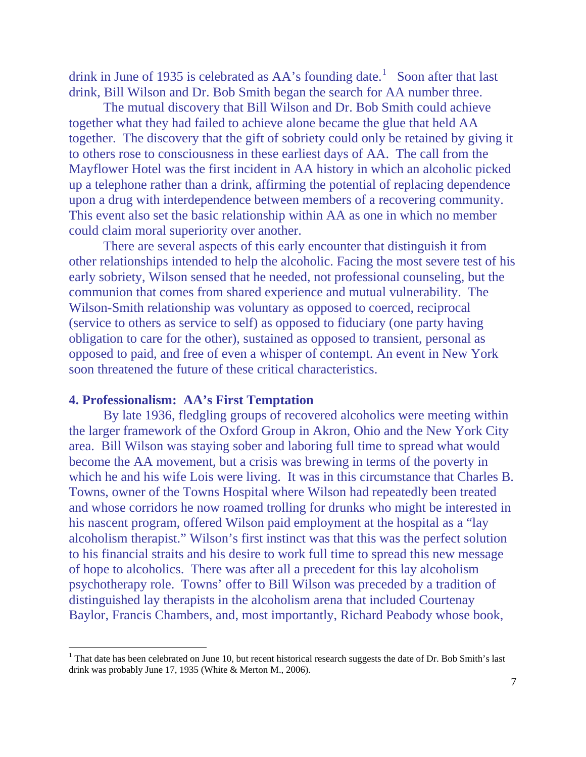drink in June of [1](#page-6-0)935 is celebrated as AA's founding date.<sup>1</sup> Soon after that last drink, Bill Wilson and Dr. Bob Smith began the search for AA number three.

 The mutual discovery that Bill Wilson and Dr. Bob Smith could achieve together what they had failed to achieve alone became the glue that held AA together. The discovery that the gift of sobriety could only be retained by giving it to others rose to consciousness in these earliest days of AA. The call from the Mayflower Hotel was the first incident in AA history in which an alcoholic picked up a telephone rather than a drink, affirming the potential of replacing dependence upon a drug with interdependence between members of a recovering community. This event also set the basic relationship within AA as one in which no member could claim moral superiority over another.

 There are several aspects of this early encounter that distinguish it from other relationships intended to help the alcoholic. Facing the most severe test of his early sobriety, Wilson sensed that he needed, not professional counseling, but the communion that comes from shared experience and mutual vulnerability. The Wilson-Smith relationship was voluntary as opposed to coerced, reciprocal (service to others as service to self) as opposed to fiduciary (one party having obligation to care for the other), sustained as opposed to transient, personal as opposed to paid, and free of even a whisper of contempt. An event in New York soon threatened the future of these critical characteristics.

### **4. Professionalism: AA's First Temptation**

 $\overline{a}$ 

 By late 1936, fledgling groups of recovered alcoholics were meeting within the larger framework of the Oxford Group in Akron, Ohio and the New York City area. Bill Wilson was staying sober and laboring full time to spread what would become the AA movement, but a crisis was brewing in terms of the poverty in which he and his wife Lois were living. It was in this circumstance that Charles B. Towns, owner of the Towns Hospital where Wilson had repeatedly been treated and whose corridors he now roamed trolling for drunks who might be interested in his nascent program, offered Wilson paid employment at the hospital as a "lay alcoholism therapist." Wilson's first instinct was that this was the perfect solution to his financial straits and his desire to work full time to spread this new message of hope to alcoholics. There was after all a precedent for this lay alcoholism psychotherapy role. Towns' offer to Bill Wilson was preceded by a tradition of distinguished lay therapists in the alcoholism arena that included Courtenay Baylor, Francis Chambers, and, most importantly, Richard Peabody whose book,

<span id="page-6-0"></span> $1$  That date has been celebrated on June 10, but recent historical research suggests the date of Dr. Bob Smith's last drink was probably June 17, 1935 (White & Merton M., 2006).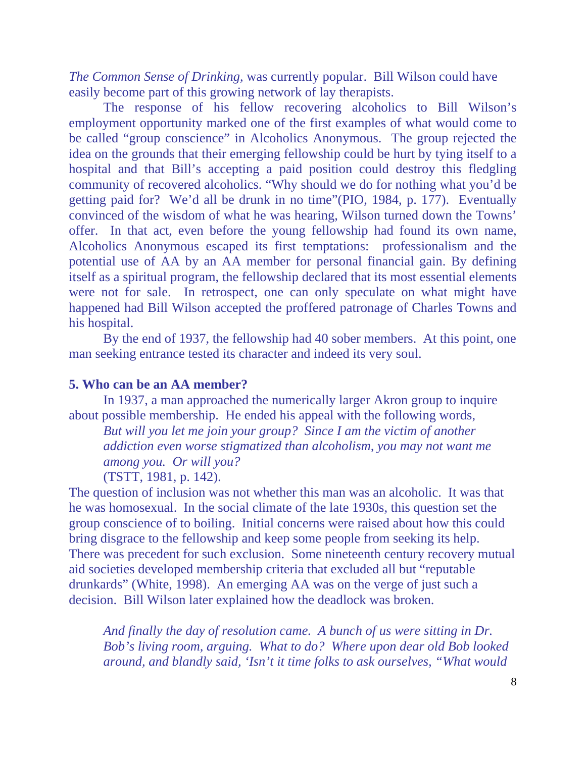*The Common Sense of Drinking*, was currently popular. Bill Wilson could have easily become part of this growing network of lay therapists.

 The response of his fellow recovering alcoholics to Bill Wilson's employment opportunity marked one of the first examples of what would come to be called "group conscience" in Alcoholics Anonymous. The group rejected the idea on the grounds that their emerging fellowship could be hurt by tying itself to a hospital and that Bill's accepting a paid position could destroy this fledgling community of recovered alcoholics. "Why should we do for nothing what you'd be getting paid for? We'd all be drunk in no time"(PIO, 1984, p. 177). Eventually convinced of the wisdom of what he was hearing, Wilson turned down the Towns' offer. In that act, even before the young fellowship had found its own name, Alcoholics Anonymous escaped its first temptations: professionalism and the potential use of AA by an AA member for personal financial gain. By defining itself as a spiritual program, the fellowship declared that its most essential elements were not for sale. In retrospect, one can only speculate on what might have happened had Bill Wilson accepted the proffered patronage of Charles Towns and his hospital.

 By the end of 1937, the fellowship had 40 sober members. At this point, one man seeking entrance tested its character and indeed its very soul.

# **5. Who can be an AA member?**

In 1937, a man approached the numerically larger Akron group to inquire about possible membership. He ended his appeal with the following words,

*But will you let me join your group? Since I am the victim of another addiction even worse stigmatized than alcoholism, you may not want me among you. Or will you?* 

(TSTT, 1981, p. 142).

The question of inclusion was not whether this man was an alcoholic. It was that he was homosexual. In the social climate of the late 1930s, this question set the group conscience of to boiling. Initial concerns were raised about how this could bring disgrace to the fellowship and keep some people from seeking its help. There was precedent for such exclusion. Some nineteenth century recovery mutual aid societies developed membership criteria that excluded all but "reputable drunkards" (White, 1998). An emerging AA was on the verge of just such a decision. Bill Wilson later explained how the deadlock was broken.

*And finally the day of resolution came. A bunch of us were sitting in Dr. Bob's living room, arguing. What to do? Where upon dear old Bob looked around, and blandly said, 'Isn't it time folks to ask ourselves, "What would*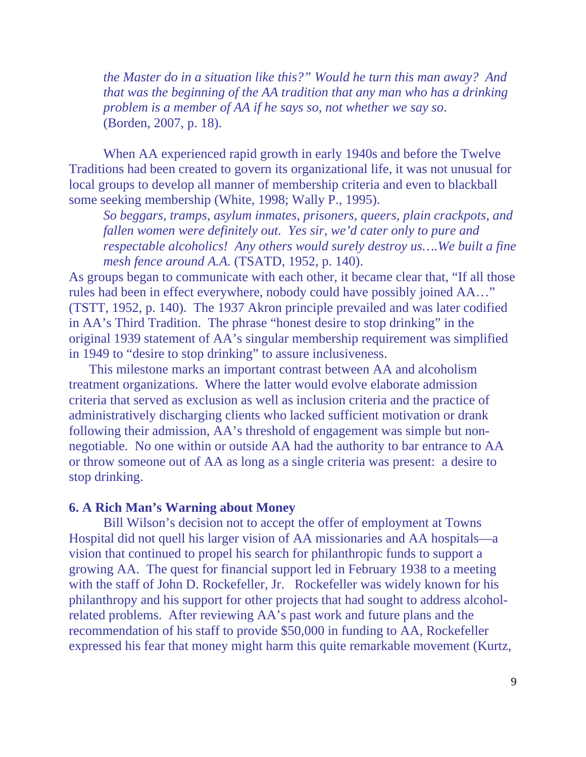*the Master do in a situation like this?" Would he turn this man away? And that was the beginning of the AA tradition that any man who has a drinking problem is a member of AA if he says so, not whether we say so*. (Borden, 2007, p. 18).

 When AA experienced rapid growth in early 1940s and before the Twelve Traditions had been created to govern its organizational life, it was not unusual for local groups to develop all manner of membership criteria and even to blackball some seeking membership (White, 1998; Wally P., 1995).

*So beggars, tramps, asylum inmates, prisoners, queers, plain crackpots, and fallen women were definitely out. Yes sir, we'd cater only to pure and respectable alcoholics! Any others would surely destroy us….We built a fine mesh fence around A.A.* (TSATD, 1952, p. 140).

As groups began to communicate with each other, it became clear that, "If all those rules had been in effect everywhere, nobody could have possibly joined AA…" (TSTT, 1952, p. 140). The 1937 Akron principle prevailed and was later codified in AA's Third Tradition. The phrase "honest desire to stop drinking" in the original 1939 statement of AA's singular membership requirement was simplified in 1949 to "desire to stop drinking" to assure inclusiveness.

 This milestone marks an important contrast between AA and alcoholism treatment organizations. Where the latter would evolve elaborate admission criteria that served as exclusion as well as inclusion criteria and the practice of administratively discharging clients who lacked sufficient motivation or drank following their admission, AA's threshold of engagement was simple but nonnegotiable. No one within or outside AA had the authority to bar entrance to AA or throw someone out of AA as long as a single criteria was present: a desire to stop drinking.

#### **6. A Rich Man's Warning about Money**

Bill Wilson's decision not to accept the offer of employment at Towns Hospital did not quell his larger vision of AA missionaries and AA hospitals—a vision that continued to propel his search for philanthropic funds to support a growing AA. The quest for financial support led in February 1938 to a meeting with the staff of John D. Rockefeller, Jr. Rockefeller was widely known for his philanthropy and his support for other projects that had sought to address alcoholrelated problems. After reviewing AA's past work and future plans and the recommendation of his staff to provide \$50,000 in funding to AA, Rockefeller expressed his fear that money might harm this quite remarkable movement (Kurtz,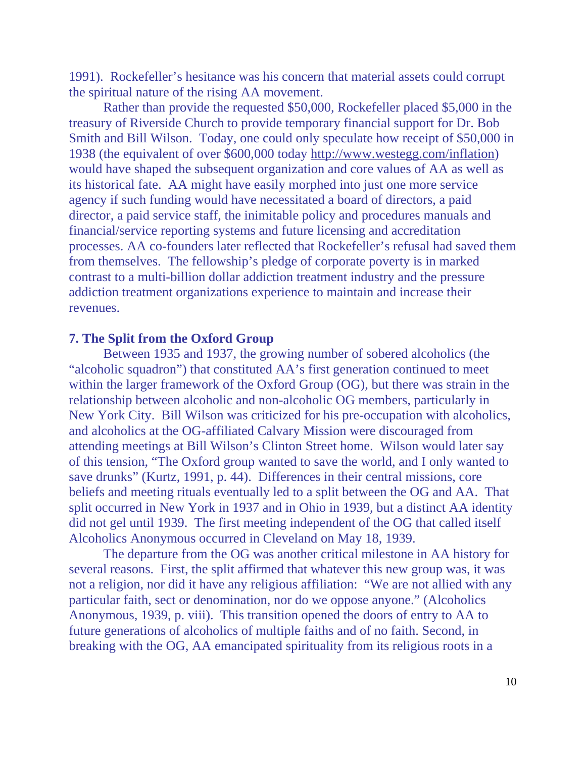1991). Rockefeller's hesitance was his concern that material assets could corrupt the spiritual nature of the rising AA movement.

 Rather than provide the requested \$50,000, Rockefeller placed \$5,000 in the treasury of Riverside Church to provide temporary financial support for Dr. Bob Smith and Bill Wilson. Today, one could only speculate how receipt of \$50,000 in 1938 (the equivalent of over \$600,000 today http://www.westegg.com/inflation) would have shaped the subsequent organization and core values of AA as well as its historical fate. AA might have easily morphed into just one more service agency if such funding would have necessitated a board of directors, a paid director, a paid service staff, the inimitable policy and procedures manuals and financial/service reporting systems and future licensing and accreditation processes. AA co-founders later reflected that Rockefeller's refusal had saved them from themselves. The fellowship's pledge of corporate poverty is in marked contrast to a multi-billion dollar addiction treatment industry and the pressure addiction treatment organizations experience to maintain and increase their revenues.

### **7. The Split from the Oxford Group**

 Between 1935 and 1937, the growing number of sobered alcoholics (the "alcoholic squadron") that constituted AA's first generation continued to meet within the larger framework of the Oxford Group (OG), but there was strain in the relationship between alcoholic and non-alcoholic OG members, particularly in New York City. Bill Wilson was criticized for his pre-occupation with alcoholics, and alcoholics at the OG-affiliated Calvary Mission were discouraged from attending meetings at Bill Wilson's Clinton Street home. Wilson would later say of this tension, "The Oxford group wanted to save the world, and I only wanted to save drunks" (Kurtz, 1991, p. 44). Differences in their central missions, core beliefs and meeting rituals eventually led to a split between the OG and AA. That split occurred in New York in 1937 and in Ohio in 1939, but a distinct AA identity did not gel until 1939. The first meeting independent of the OG that called itself Alcoholics Anonymous occurred in Cleveland on May 18, 1939.

 The departure from the OG was another critical milestone in AA history for several reasons. First, the split affirmed that whatever this new group was, it was not a religion, nor did it have any religious affiliation: "We are not allied with any particular faith, sect or denomination, nor do we oppose anyone." (Alcoholics Anonymous, 1939, p. viii). This transition opened the doors of entry to AA to future generations of alcoholics of multiple faiths and of no faith. Second, in breaking with the OG, AA emancipated spirituality from its religious roots in a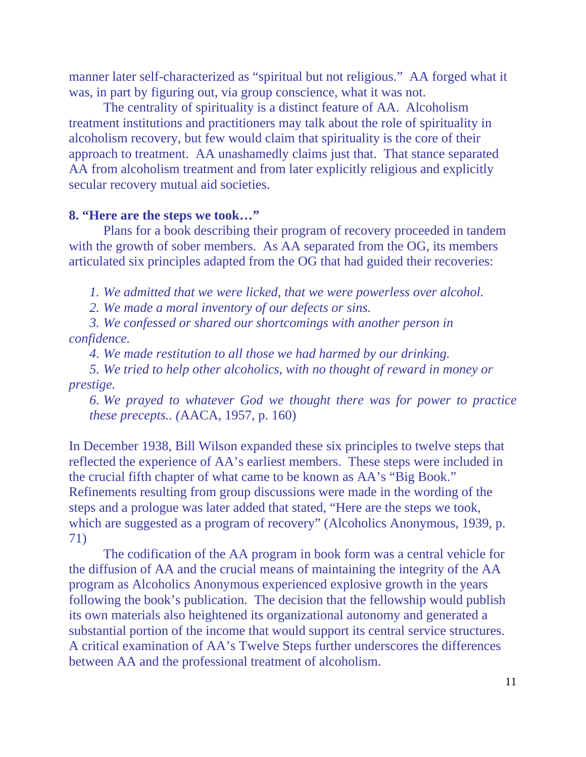manner later self-characterized as "spiritual but not religious." AA forged what it was, in part by figuring out, via group conscience, what it was not.

 The centrality of spirituality is a distinct feature of AA. Alcoholism treatment institutions and practitioners may talk about the role of spirituality in alcoholism recovery, but few would claim that spirituality is the core of their approach to treatment. AA unashamedly claims just that. That stance separated AA from alcoholism treatment and from later explicitly religious and explicitly secular recovery mutual aid societies.

### **8. "Here are the steps we took…"**

 Plans for a book describing their program of recovery proceeded in tandem with the growth of sober members. As AA separated from the OG, its members articulated six principles adapted from the OG that had guided their recoveries:

*1. We admitted that we were licked, that we were powerless over alcohol.* 

*2. We made a moral inventory of our defects or sins.* 

*3. We confessed or shared our shortcomings with another person in confidence.* 

*4. We made restitution to all those we had harmed by our drinking.* 

*5. We tried to help other alcoholics, with no thought of reward in money or prestige.* 

 *6. We prayed to whatever God we thought there was for power to practice these precepts.. (*AACA, 1957, p. 160)

In December 1938, Bill Wilson expanded these six principles to twelve steps that reflected the experience of AA's earliest members. These steps were included in the crucial fifth chapter of what came to be known as AA's "Big Book." Refinements resulting from group discussions were made in the wording of the steps and a prologue was later added that stated, "Here are the steps we took, which are suggested as a program of recovery" (Alcoholics Anonymous, 1939, p. 71)

 The codification of the AA program in book form was a central vehicle for the diffusion of AA and the crucial means of maintaining the integrity of the AA program as Alcoholics Anonymous experienced explosive growth in the years following the book's publication. The decision that the fellowship would publish its own materials also heightened its organizational autonomy and generated a substantial portion of the income that would support its central service structures. A critical examination of AA's Twelve Steps further underscores the differences between AA and the professional treatment of alcoholism.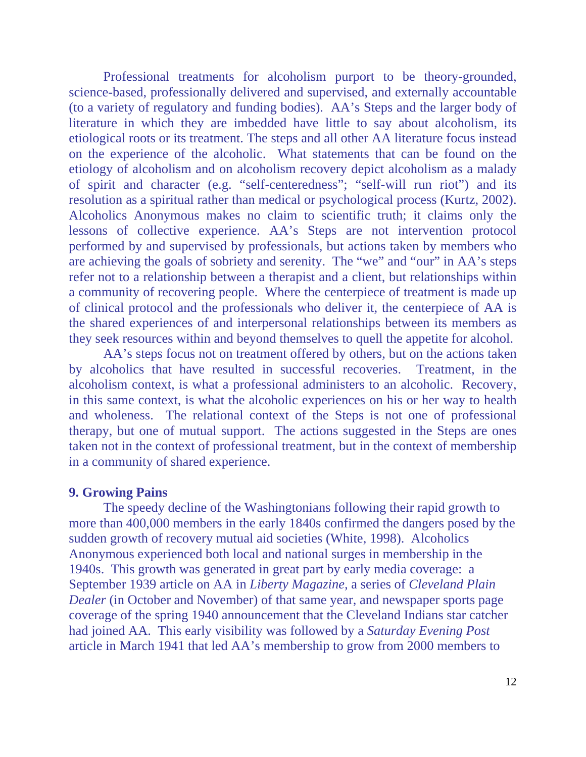Professional treatments for alcoholism purport to be theory-grounded, science-based, professionally delivered and supervised, and externally accountable (to a variety of regulatory and funding bodies). AA's Steps and the larger body of literature in which they are imbedded have little to say about alcoholism, its etiological roots or its treatment. The steps and all other AA literature focus instead on the experience of the alcoholic. What statements that can be found on the etiology of alcoholism and on alcoholism recovery depict alcoholism as a malady of spirit and character (e.g. "self-centeredness"; "self-will run riot") and its resolution as a spiritual rather than medical or psychological process (Kurtz, 2002). Alcoholics Anonymous makes no claim to scientific truth; it claims only the lessons of collective experience. AA's Steps are not intervention protocol performed by and supervised by professionals, but actions taken by members who are achieving the goals of sobriety and serenity. The "we" and "our" in AA's steps refer not to a relationship between a therapist and a client, but relationships within a community of recovering people. Where the centerpiece of treatment is made up of clinical protocol and the professionals who deliver it, the centerpiece of AA is the shared experiences of and interpersonal relationships between its members as they seek resources within and beyond themselves to quell the appetite for alcohol.

 AA's steps focus not on treatment offered by others, but on the actions taken by alcoholics that have resulted in successful recoveries. Treatment, in the alcoholism context, is what a professional administers to an alcoholic. Recovery, in this same context, is what the alcoholic experiences on his or her way to health and wholeness. The relational context of the Steps is not one of professional therapy, but one of mutual support. The actions suggested in the Steps are ones taken not in the context of professional treatment, but in the context of membership in a community of shared experience.

#### **9. Growing Pains**

 The speedy decline of the Washingtonians following their rapid growth to more than 400,000 members in the early 1840s confirmed the dangers posed by the sudden growth of recovery mutual aid societies (White, 1998). Alcoholics Anonymous experienced both local and national surges in membership in the 1940s. This growth was generated in great part by early media coverage: a September 1939 article on AA in *Liberty Magazine,* a series of *Cleveland Plain Dealer* (in October and November) of that same year, and newspaper sports page coverage of the spring 1940 announcement that the Cleveland Indians star catcher had joined AA. This early visibility was followed by a *Saturday Evening Post* article in March 1941 that led AA's membership to grow from 2000 members to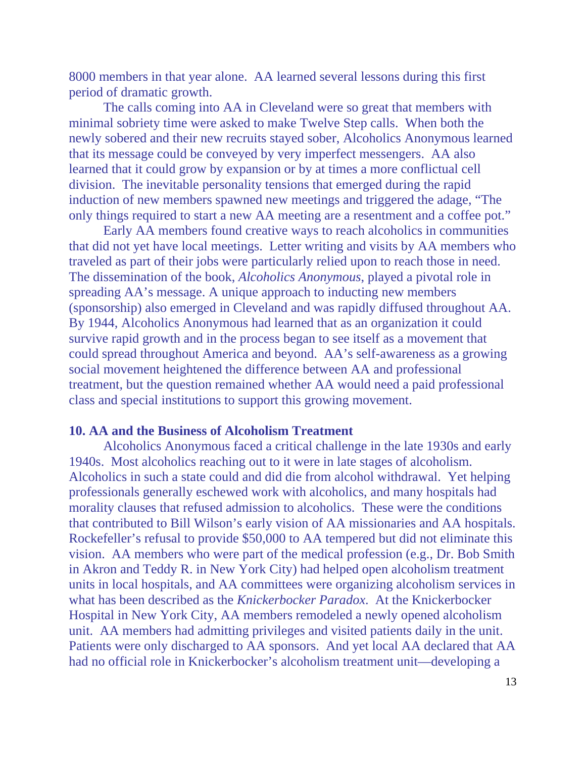8000 members in that year alone. AA learned several lessons during this first period of dramatic growth.

 The calls coming into AA in Cleveland were so great that members with minimal sobriety time were asked to make Twelve Step calls. When both the newly sobered and their new recruits stayed sober, Alcoholics Anonymous learned that its message could be conveyed by very imperfect messengers. AA also learned that it could grow by expansion or by at times a more conflictual cell division. The inevitable personality tensions that emerged during the rapid induction of new members spawned new meetings and triggered the adage, "The only things required to start a new AA meeting are a resentment and a coffee pot."

 Early AA members found creative ways to reach alcoholics in communities that did not yet have local meetings. Letter writing and visits by AA members who traveled as part of their jobs were particularly relied upon to reach those in need. The dissemination of the book, *Alcoholics Anonymous*, played a pivotal role in spreading AA's message. A unique approach to inducting new members (sponsorship) also emerged in Cleveland and was rapidly diffused throughout AA. By 1944, Alcoholics Anonymous had learned that as an organization it could survive rapid growth and in the process began to see itself as a movement that could spread throughout America and beyond. AA's self-awareness as a growing social movement heightened the difference between AA and professional treatment, but the question remained whether AA would need a paid professional class and special institutions to support this growing movement.

## **10. AA and the Business of Alcoholism Treatment**

 Alcoholics Anonymous faced a critical challenge in the late 1930s and early 1940s. Most alcoholics reaching out to it were in late stages of alcoholism. Alcoholics in such a state could and did die from alcohol withdrawal. Yet helping professionals generally eschewed work with alcoholics, and many hospitals had morality clauses that refused admission to alcoholics. These were the conditions that contributed to Bill Wilson's early vision of AA missionaries and AA hospitals. Rockefeller's refusal to provide \$50,000 to AA tempered but did not eliminate this vision. AA members who were part of the medical profession (e.g., Dr. Bob Smith in Akron and Teddy R. in New York City) had helped open alcoholism treatment units in local hospitals, and AA committees were organizing alcoholism services in what has been described as the *Knickerbocker Paradox*. At the Knickerbocker Hospital in New York City, AA members remodeled a newly opened alcoholism unit. AA members had admitting privileges and visited patients daily in the unit. Patients were only discharged to AA sponsors. And yet local AA declared that AA had no official role in Knickerbocker's alcoholism treatment unit—developing a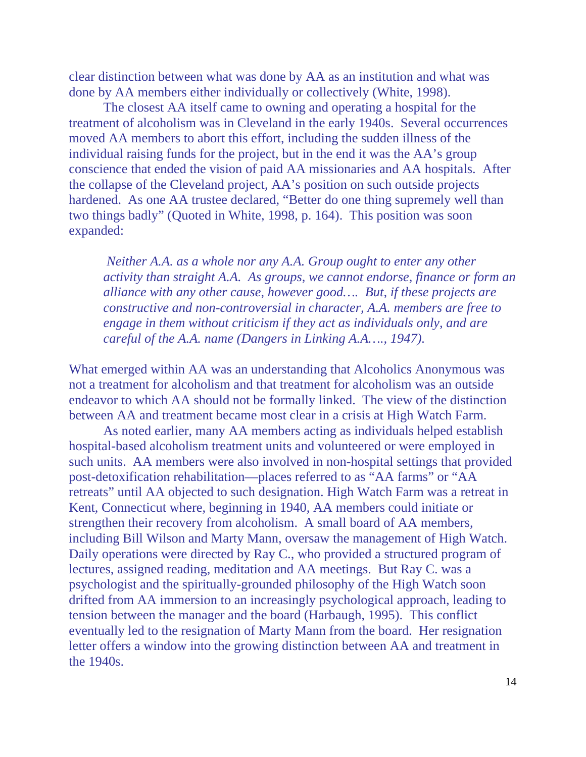clear distinction between what was done by AA as an institution and what was done by AA members either individually or collectively (White, 1998).

 The closest AA itself came to owning and operating a hospital for the treatment of alcoholism was in Cleveland in the early 1940s. Several occurrences moved AA members to abort this effort, including the sudden illness of the individual raising funds for the project, but in the end it was the AA's group conscience that ended the vision of paid AA missionaries and AA hospitals. After the collapse of the Cleveland project, AA's position on such outside projects hardened. As one AA trustee declared, "Better do one thing supremely well than two things badly" (Quoted in White, 1998, p. 164). This position was soon expanded:

 *Neither A.A. as a whole nor any A.A. Group ought to enter any other activity than straight A.A. As groups, we cannot endorse, finance or form an alliance with any other cause, however good…. But, if these projects are constructive and non-controversial in character, A.A. members are free to engage in them without criticism if they act as individuals only, and are careful of the A.A. name (Dangers in Linking A.A…., 1947).* 

What emerged within AA was an understanding that Alcoholics Anonymous was not a treatment for alcoholism and that treatment for alcoholism was an outside endeavor to which AA should not be formally linked. The view of the distinction between AA and treatment became most clear in a crisis at High Watch Farm.

 As noted earlier, many AA members acting as individuals helped establish hospital-based alcoholism treatment units and volunteered or were employed in such units. AA members were also involved in non-hospital settings that provided post-detoxification rehabilitation—places referred to as "AA farms" or "AA retreats" until AA objected to such designation. High Watch Farm was a retreat in Kent, Connecticut where, beginning in 1940, AA members could initiate or strengthen their recovery from alcoholism. A small board of AA members, including Bill Wilson and Marty Mann, oversaw the management of High Watch. Daily operations were directed by Ray C., who provided a structured program of lectures, assigned reading, meditation and AA meetings. But Ray C. was a psychologist and the spiritually-grounded philosophy of the High Watch soon drifted from AA immersion to an increasingly psychological approach, leading to tension between the manager and the board (Harbaugh, 1995). This conflict eventually led to the resignation of Marty Mann from the board. Her resignation letter offers a window into the growing distinction between AA and treatment in the 1940s.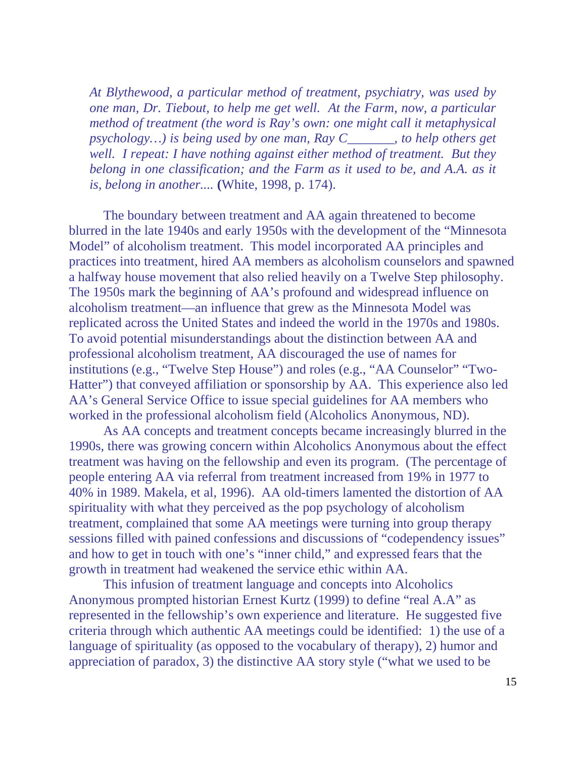*At Blythewood, a particular method of treatment, psychiatry, was used by one man, Dr. Tiebout, to help me get well. At the Farm, now, a particular method of treatment (the word is Ray's own: one might call it metaphysical psychology…) is being used by one man, Ray C\_\_\_\_\_\_\_, to help others get well. I repeat: I have nothing against either method of treatment. But they belong in one classification; and the Farm as it used to be, and A.A. as it is, belong in another....* **(**White, 1998, p. 174).

 The boundary between treatment and AA again threatened to become blurred in the late 1940s and early 1950s with the development of the "Minnesota Model" of alcoholism treatment. This model incorporated AA principles and practices into treatment, hired AA members as alcoholism counselors and spawned a halfway house movement that also relied heavily on a Twelve Step philosophy. The 1950s mark the beginning of AA's profound and widespread influence on alcoholism treatment—an influence that grew as the Minnesota Model was replicated across the United States and indeed the world in the 1970s and 1980s. To avoid potential misunderstandings about the distinction between AA and professional alcoholism treatment, AA discouraged the use of names for institutions (e.g., "Twelve Step House") and roles (e.g., "AA Counselor" "Two-Hatter") that conveyed affiliation or sponsorship by AA. This experience also led AA's General Service Office to issue special guidelines for AA members who worked in the professional alcoholism field (Alcoholics Anonymous, ND).

 As AA concepts and treatment concepts became increasingly blurred in the 1990s, there was growing concern within Alcoholics Anonymous about the effect treatment was having on the fellowship and even its program. (The percentage of people entering AA via referral from treatment increased from 19% in 1977 to 40% in 1989. Makela, et al, 1996). AA old-timers lamented the distortion of AA spirituality with what they perceived as the pop psychology of alcoholism treatment, complained that some AA meetings were turning into group therapy sessions filled with pained confessions and discussions of "codependency issues" and how to get in touch with one's "inner child," and expressed fears that the growth in treatment had weakened the service ethic within AA.

 This infusion of treatment language and concepts into Alcoholics Anonymous prompted historian Ernest Kurtz (1999) to define "real A.A" as represented in the fellowship's own experience and literature. He suggested five criteria through which authentic AA meetings could be identified: 1) the use of a language of spirituality (as opposed to the vocabulary of therapy), 2) humor and appreciation of paradox, 3) the distinctive AA story style ("what we used to be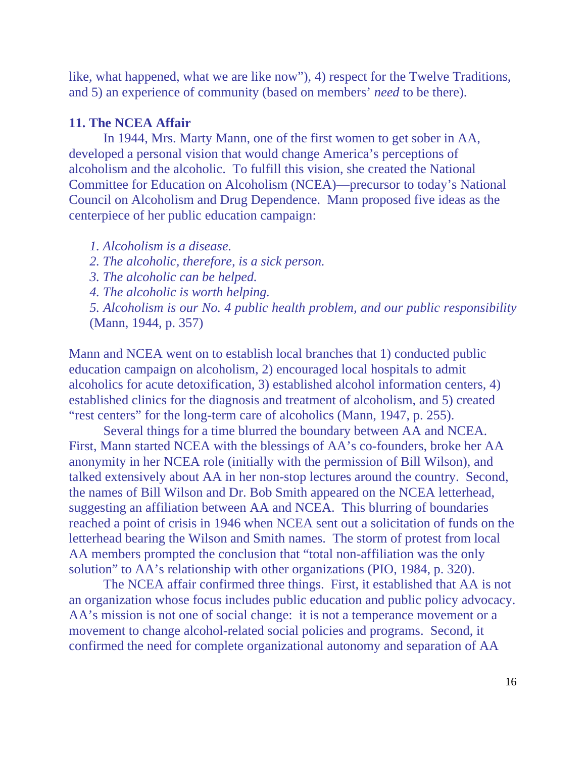like, what happened, what we are like now"), 4) respect for the Twelve Traditions, and 5) an experience of community (based on members' *need* to be there).

### **11. The NCEA Affair**

In 1944, Mrs. Marty Mann, one of the first women to get sober in AA, developed a personal vision that would change America's perceptions of alcoholism and the alcoholic. To fulfill this vision, she created the National Committee for Education on Alcoholism (NCEA)—precursor to today's National Council on Alcoholism and Drug Dependence. Mann proposed five ideas as the centerpiece of her public education campaign:

- *1. Alcoholism is a disease.*
- *2. The alcoholic, therefore, is a sick person.*
- *3. The alcoholic can be helped.*
- *4. The alcoholic is worth helping.*
- *5. Alcoholism is our No. 4 public health problem, and our public responsibility*  (Mann, 1944, p. 357)

Mann and NCEA went on to establish local branches that 1) conducted public education campaign on alcoholism, 2) encouraged local hospitals to admit alcoholics for acute detoxification, 3) established alcohol information centers, 4) established clinics for the diagnosis and treatment of alcoholism, and 5) created "rest centers" for the long-term care of alcoholics (Mann, 1947, p. 255).

 Several things for a time blurred the boundary between AA and NCEA. First, Mann started NCEA with the blessings of AA's co-founders, broke her AA anonymity in her NCEA role (initially with the permission of Bill Wilson), and talked extensively about AA in her non-stop lectures around the country. Second, the names of Bill Wilson and Dr. Bob Smith appeared on the NCEA letterhead, suggesting an affiliation between AA and NCEA. This blurring of boundaries reached a point of crisis in 1946 when NCEA sent out a solicitation of funds on the letterhead bearing the Wilson and Smith names. The storm of protest from local AA members prompted the conclusion that "total non-affiliation was the only solution" to AA's relationship with other organizations (PIO, 1984, p. 320).

 The NCEA affair confirmed three things. First, it established that AA is not an organization whose focus includes public education and public policy advocacy. AA's mission is not one of social change: it is not a temperance movement or a movement to change alcohol-related social policies and programs. Second, it confirmed the need for complete organizational autonomy and separation of AA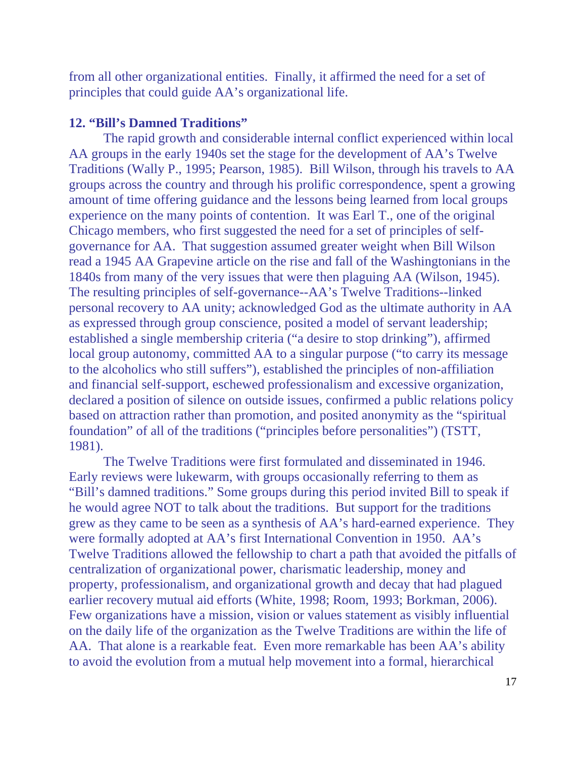from all other organizational entities. Finally, it affirmed the need for a set of principles that could guide AA's organizational life.

### **12. "Bill's Damned Traditions"**

 The rapid growth and considerable internal conflict experienced within local AA groups in the early 1940s set the stage for the development of AA's Twelve Traditions (Wally P., 1995; Pearson, 1985). Bill Wilson, through his travels to AA groups across the country and through his prolific correspondence, spent a growing amount of time offering guidance and the lessons being learned from local groups experience on the many points of contention. It was Earl T., one of the original Chicago members, who first suggested the need for a set of principles of selfgovernance for AA. That suggestion assumed greater weight when Bill Wilson read a 1945 AA Grapevine article on the rise and fall of the Washingtonians in the 1840s from many of the very issues that were then plaguing AA (Wilson, 1945). The resulting principles of self-governance--AA's Twelve Traditions--linked personal recovery to AA unity; acknowledged God as the ultimate authority in AA as expressed through group conscience, posited a model of servant leadership; established a single membership criteria ("a desire to stop drinking"), affirmed local group autonomy, committed AA to a singular purpose ("to carry its message to the alcoholics who still suffers"), established the principles of non-affiliation and financial self-support, eschewed professionalism and excessive organization, declared a position of silence on outside issues, confirmed a public relations policy based on attraction rather than promotion, and posited anonymity as the "spiritual foundation" of all of the traditions ("principles before personalities") (TSTT, 1981).

 The Twelve Traditions were first formulated and disseminated in 1946. Early reviews were lukewarm, with groups occasionally referring to them as "Bill's damned traditions." Some groups during this period invited Bill to speak if he would agree NOT to talk about the traditions. But support for the traditions grew as they came to be seen as a synthesis of AA's hard-earned experience. They were formally adopted at AA's first International Convention in 1950. AA's Twelve Traditions allowed the fellowship to chart a path that avoided the pitfalls of centralization of organizational power, charismatic leadership, money and property, professionalism, and organizational growth and decay that had plagued earlier recovery mutual aid efforts (White, 1998; Room, 1993; Borkman, 2006). Few organizations have a mission, vision or values statement as visibly influential on the daily life of the organization as the Twelve Traditions are within the life of AA. That alone is a rearkable feat. Even more remarkable has been AA's ability to avoid the evolution from a mutual help movement into a formal, hierarchical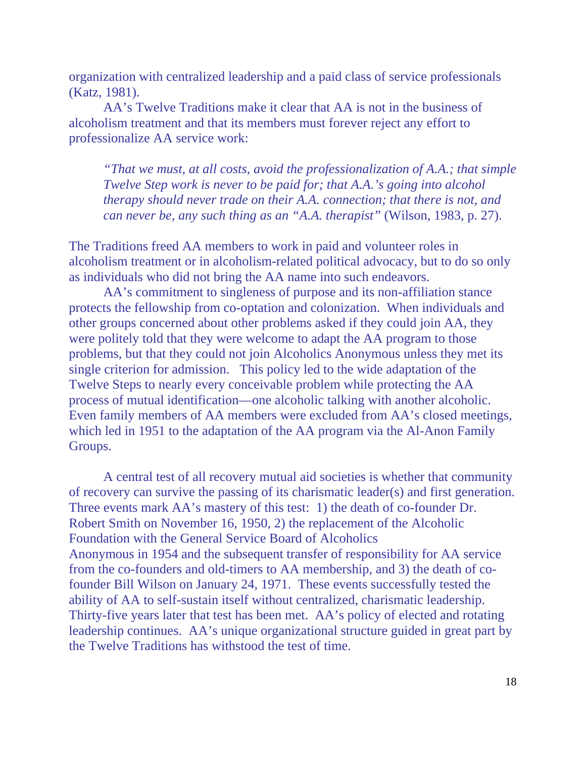organization with centralized leadership and a paid class of service professionals (Katz, 1981).

 AA's Twelve Traditions make it clear that AA is not in the business of alcoholism treatment and that its members must forever reject any effort to professionalize AA service work:

*"That we must, at all costs, avoid the professionalization of A.A.; that simple Twelve Step work is never to be paid for; that A.A.'s going into alcohol therapy should never trade on their A.A. connection; that there is not, and can never be, any such thing as an "A.A. therapist"* (Wilson, 1983, p. 27).

The Traditions freed AA members to work in paid and volunteer roles in alcoholism treatment or in alcoholism-related political advocacy, but to do so only as individuals who did not bring the AA name into such endeavors.

 AA's commitment to singleness of purpose and its non-affiliation stance protects the fellowship from co-optation and colonization. When individuals and other groups concerned about other problems asked if they could join AA, they were politely told that they were welcome to adapt the AA program to those problems, but that they could not join Alcoholics Anonymous unless they met its single criterion for admission. This policy led to the wide adaptation of the Twelve Steps to nearly every conceivable problem while protecting the AA process of mutual identification—one alcoholic talking with another alcoholic. Even family members of AA members were excluded from AA's closed meetings, which led in 1951 to the adaptation of the AA program via the Al-Anon Family Groups.

 A central test of all recovery mutual aid societies is whether that community of recovery can survive the passing of its charismatic leader(s) and first generation. Three events mark AA's mastery of this test: 1) the death of co-founder Dr. Robert Smith on November 16, 1950, 2) the replacement of the Alcoholic Foundation with the General Service Board of Alcoholics Anonymous in 1954 and the subsequent transfer of responsibility for AA service from the co-founders and old-timers to AA membership, and 3) the death of cofounder Bill Wilson on January 24, 1971. These events successfully tested the ability of AA to self-sustain itself without centralized, charismatic leadership. Thirty-five years later that test has been met. AA's policy of elected and rotating leadership continues. AA's unique organizational structure guided in great part by the Twelve Traditions has withstood the test of time.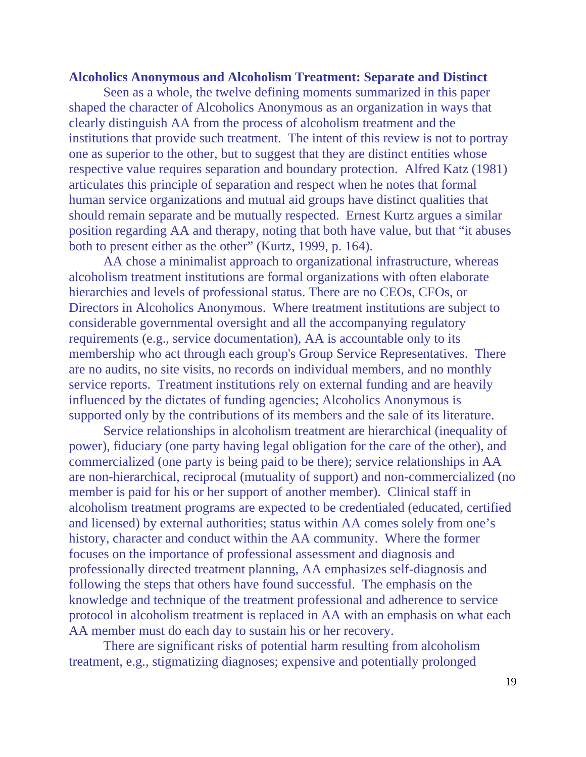#### **Alcoholics Anonymous and Alcoholism Treatment: Separate and Distinct**

 Seen as a whole, the twelve defining moments summarized in this paper shaped the character of Alcoholics Anonymous as an organization in ways that clearly distinguish AA from the process of alcoholism treatment and the institutions that provide such treatment. The intent of this review is not to portray one as superior to the other, but to suggest that they are distinct entities whose respective value requires separation and boundary protection. Alfred Katz (1981) articulates this principle of separation and respect when he notes that formal human service organizations and mutual aid groups have distinct qualities that should remain separate and be mutually respected. Ernest Kurtz argues a similar position regarding AA and therapy, noting that both have value, but that "it abuses both to present either as the other" (Kurtz, 1999, p. 164).

 AA chose a minimalist approach to organizational infrastructure, whereas alcoholism treatment institutions are formal organizations with often elaborate hierarchies and levels of professional status. There are no CEOs, CFOs, or Directors in Alcoholics Anonymous. Where treatment institutions are subject to considerable governmental oversight and all the accompanying regulatory requirements (e.g., service documentation), AA is accountable only to its membership who act through each group's Group Service Representatives. There are no audits, no site visits, no records on individual members, and no monthly service reports. Treatment institutions rely on external funding and are heavily influenced by the dictates of funding agencies; Alcoholics Anonymous is supported only by the contributions of its members and the sale of its literature.

 Service relationships in alcoholism treatment are hierarchical (inequality of power), fiduciary (one party having legal obligation for the care of the other), and commercialized (one party is being paid to be there); service relationships in AA are non-hierarchical, reciprocal (mutuality of support) and non-commercialized (no member is paid for his or her support of another member). Clinical staff in alcoholism treatment programs are expected to be credentialed (educated, certified and licensed) by external authorities; status within AA comes solely from one's history, character and conduct within the AA community. Where the former focuses on the importance of professional assessment and diagnosis and professionally directed treatment planning, AA emphasizes self-diagnosis and following the steps that others have found successful. The emphasis on the knowledge and technique of the treatment professional and adherence to service protocol in alcoholism treatment is replaced in AA with an emphasis on what each AA member must do each day to sustain his or her recovery.

 There are significant risks of potential harm resulting from alcoholism treatment, e.g., stigmatizing diagnoses; expensive and potentially prolonged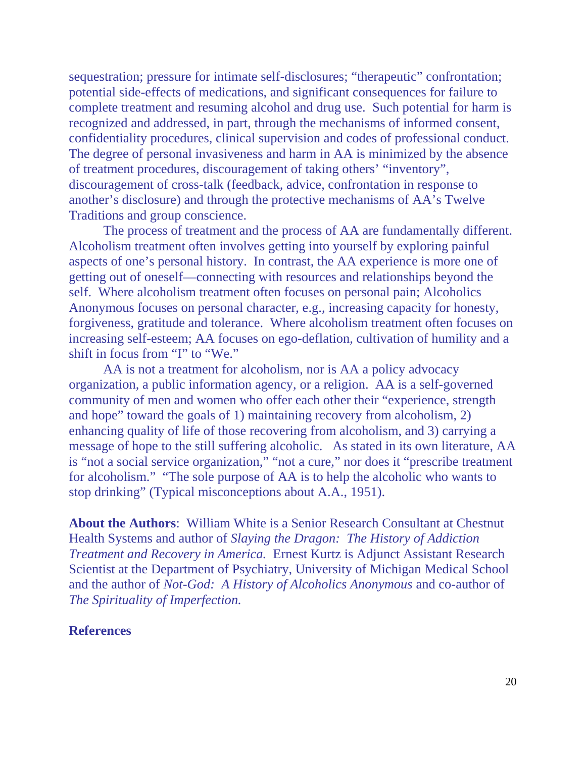sequestration; pressure for intimate self-disclosures; "therapeutic" confrontation; potential side-effects of medications, and significant consequences for failure to complete treatment and resuming alcohol and drug use. Such potential for harm is recognized and addressed, in part, through the mechanisms of informed consent, confidentiality procedures, clinical supervision and codes of professional conduct. The degree of personal invasiveness and harm in AA is minimized by the absence of treatment procedures, discouragement of taking others' "inventory", discouragement of cross-talk (feedback, advice, confrontation in response to another's disclosure) and through the protective mechanisms of AA's Twelve Traditions and group conscience.

 The process of treatment and the process of AA are fundamentally different. Alcoholism treatment often involves getting into yourself by exploring painful aspects of one's personal history. In contrast, the AA experience is more one of getting out of oneself—connecting with resources and relationships beyond the self. Where alcoholism treatment often focuses on personal pain; Alcoholics Anonymous focuses on personal character, e.g., increasing capacity for honesty, forgiveness, gratitude and tolerance. Where alcoholism treatment often focuses on increasing self-esteem; AA focuses on ego-deflation, cultivation of humility and a shift in focus from "I" to "We."

 AA is not a treatment for alcoholism, nor is AA a policy advocacy organization, a public information agency, or a religion. AA is a self-governed community of men and women who offer each other their "experience, strength and hope" toward the goals of 1) maintaining recovery from alcoholism, 2) enhancing quality of life of those recovering from alcoholism, and 3) carrying a message of hope to the still suffering alcoholic. As stated in its own literature, AA is "not a social service organization," "not a cure," nor does it "prescribe treatment for alcoholism." "The sole purpose of AA is to help the alcoholic who wants to stop drinking" (Typical misconceptions about A.A., 1951).

**About the Authors**: William White is a Senior Research Consultant at Chestnut Health Systems and author of *Slaying the Dragon: The History of Addiction Treatment and Recovery in America.* Ernest Kurtz is Adjunct Assistant Research Scientist at the Department of Psychiatry, University of Michigan Medical School and the author of *Not-God: A History of Alcoholics Anonymous* and co-author of *The Spirituality of Imperfection.*

# **References**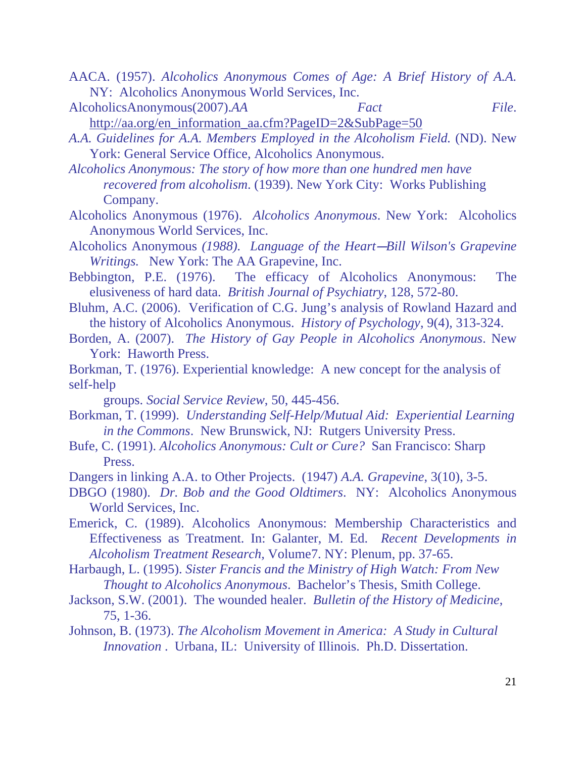AACA. (1957). *Alcoholics Anonymous Comes of Age: A Brief History of A.A.* NY: Alcoholics Anonymous World Services, Inc.

AlcoholicsAnonymous(2007).*AA Fact File*. [http://aa.org/en\\_information\\_aa.cfm?PageID=2&SubPage=50](http://aa.org/en_information_aa.cfm?PageID=2&SubPage=50)

- *A.A. Guidelines for A.A. Members Employed in the Alcoholism Field.* (ND). New York: General Service Office, Alcoholics Anonymous.
- *Alcoholics Anonymous: The story of how more than one hundred men have recovered from alcoholism*. (1939). New York City: Works Publishing Company.
- Alcoholics Anonymous (1976). *Alcoholics Anonymous*. New York: Alcoholics Anonymous World Services, Inc.
- Alcoholics Anonymous (1988). Language of the Heart-Bill Wilson's Grapevine *Writings.* New York: The AA Grapevine, Inc.
- Bebbington, P.E. (1976). The efficacy of Alcoholics Anonymous: The elusiveness of hard data. *British Journal of Psychiatry*, 128, 572-80.
- Bluhm, A.C. (2006). Verification of C.G. Jung's analysis of Rowland Hazard and the history of Alcoholics Anonymous. *History of Psychology*, 9(4), 313-324.
- Borden, A. (2007). *The History of Gay People in Alcoholics Anonymous*. New York: Haworth Press.
- Borkman, T. (1976). Experiential knowledge: A new concept for the analysis of self-help

groups. *Social Service Review*, 50, 445-456.

- Borkman, T. (1999). *Understanding Self-Help/Mutual Aid: Experiential Learning in the Commons*. New Brunswick, NJ: Rutgers University Press.
- Bufe, C. (1991). *Alcoholics Anonymous: Cult or Cure?* San Francisco: Sharp Press.
- Dangers in linking A.A. to Other Projects. (1947) *A.A. Grapevine*, 3(10), 3-5.
- DBGO (1980). *Dr. Bob and the Good Oldtimers*. NY: Alcoholics Anonymous World Services, Inc.
- Emerick, C. (1989). Alcoholics Anonymous: Membership Characteristics and Effectiveness as Treatment. In: Galanter, M. Ed. *Recent Developments in Alcoholism Treatment Research,* Volume7. NY: Plenum, pp. 37-65.
- Harbaugh, L. (1995). *Sister Francis and the Ministry of High Watch: From New Thought to Alcoholics Anonymous*. Bachelor's Thesis, Smith College.
- Jackson, S.W. (2001). The wounded healer. *Bulletin of the History of Medicine*, 75, 1-36.
- Johnson, B. (1973). *The Alcoholism Movement in America: A Study in Cultural Innovation* . Urbana, IL: University of Illinois. Ph.D. Dissertation.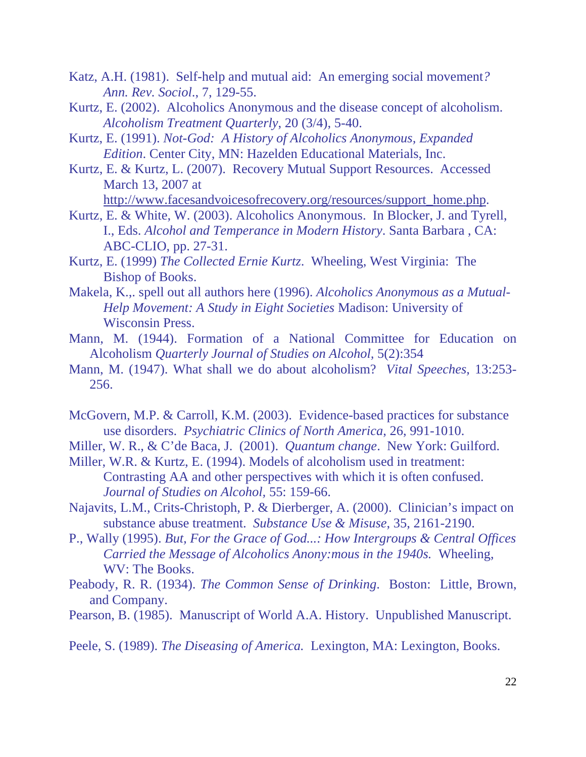- Katz, A.H. (1981). Self-help and mutual aid: An emerging social movement*? Ann. Rev. Sociol*., 7, 129-55.
- Kurtz, E. (2002). Alcoholics Anonymous and the disease concept of alcoholism. *Alcoholism Treatment Quarterly*, 20 (3/4), 5-40.
- Kurtz, E. (1991). *Not-God: A History of Alcoholics Anonymous, Expanded Edition*. Center City, MN: Hazelden Educational Materials, Inc.
- Kurtz, E. & Kurtz, L. (2007). Recovery Mutual Support Resources. Accessed March 13, 2007 at

[http://www.facesandvoicesofrecovery.org/resources/support\\_home.php](http://www.facesandvoicesofrecovery.org/resources/support_home.php).

- Kurtz, E. & White, W. (2003). Alcoholics Anonymous. In Blocker, J. and Tyrell, I., Eds. *Alcohol and Temperance in Modern History*. Santa Barbara , CA: ABC-CLIO, pp. 27-31.
- Kurtz, E. (1999) *The Collected Ernie Kurtz*. Wheeling, West Virginia: The Bishop of Books.
- Makela, K.,. spell out all authors here (1996). *Alcoholics Anonymous as a Mutual-Help Movement: A Study in Eight Societies* Madison: University of Wisconsin Press.
- Mann, M. (1944). Formation of a National Committee for Education on Alcoholism *Quarterly Journal of Studies on Alcohol,* 5(2):354
- Mann, M. (1947). What shall we do about alcoholism? *Vital Speeches,* 13:253- 256.
- McGovern, M.P. & Carroll, K.M. (2003). Evidence-based practices for substance use disorders. *Psychiatric Clinics of North America*, 26, 991-1010.
- Miller, W. R., & C'de Baca, J. (2001). *Quantum change*. New York: Guilford.
- Miller, W.R. & Kurtz, E. (1994). Models of alcoholism used in treatment: Contrasting AA and other perspectives with which it is often confused. *Journal of Studies on Alcohol,* 55: 159-66.
- Najavits, L.M., Crits-Christoph, P. & Dierberger, A. (2000). Clinician's impact on substance abuse treatment. *Substance Use & Misuse*, 35, 2161-2190.
- P., Wally (1995). *But, For the Grace of God...: How Intergroups & Central Offices Carried the Message of Alcoholics Anony:mous in the 1940s.* Wheeling, WV: The Books.
- Peabody, R. R. (1934). *The Common Sense of Drinking*. Boston: Little, Brown, and Company.
- Pearson, B. (1985). Manuscript of World A.A. History. Unpublished Manuscript.
- Peele, S. (1989). *The Diseasing of America.* Lexington, MA: Lexington, Books.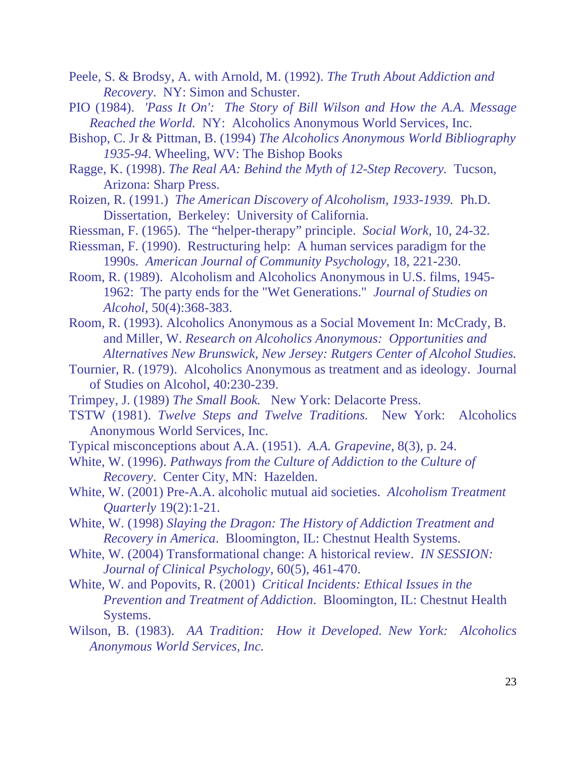- Peele, S. & Brodsy, A. with Arnold, M. (1992). *The Truth About Addiction and Recovery*. NY: Simon and Schuster.
- PIO (1984). *'Pass It On': The Story of Bill Wilson and How the A.A. Message Reached the World.* NY: Alcoholics Anonymous World Services, Inc.
- Bishop, C. Jr & Pittman, B. (1994) *The Alcoholics Anonymous World Bibliography 1935-94*. Wheeling, WV: The Bishop Books
- Ragge, K. (1998). *The Real AA: Behind the Myth of 12-Step Recovery.* Tucson, Arizona: Sharp Press.
- Roizen, R. (1991.) *The American Discovery of Alcoholism, 1933-1939.* Ph.D. Dissertation, Berkeley: University of California.
- Riessman, F. (1965). The "helper-therapy" principle. *Social Work,* 10, 24-32.
- Riessman, F. (1990). Restructuring help: A human services paradigm for the 1990s. *American Journal of Community Psychology,* 18, 221-230.
- Room, R. (1989). Alcoholism and Alcoholics Anonymous in U.S. films, 1945- 1962: The party ends for the "Wet Generations." *Journal of Studies on Alcohol*, 50(4):368-383.
- Room, R. (1993). Alcoholics Anonymous as a Social Movement In: McCrady, B. and Miller, W. *Research on Alcoholics Anonymous: Opportunities and Alternatives New Brunswick, New Jersey: Rutgers Center of Alcohol Studies.*
- Tournier, R. (1979). Alcoholics Anonymous as treatment and as ideology. Journal of Studies on Alcohol, 40:230-239.
- Trimpey, J. (1989) *The Small Book.* New York: Delacorte Press.
- TSTW (1981). *Twelve Steps and Twelve Traditions.* New York: Alcoholics Anonymous World Services, Inc.
- Typical misconceptions about A.A. (1951). *A.A. Grapevine,* 8(3), p. 24.
- White, W. (1996). *Pathways from the Culture of Addiction to the Culture of Recovery*. Center City, MN: Hazelden.
- White, W. (2001) Pre-A.A. alcoholic mutual aid societies. *Alcoholism Treatment Quarterly* 19(2):1-21.
- White, W. (1998) *Slaying the Dragon: The History of Addiction Treatment and Recovery in America*. Bloomington, IL: Chestnut Health Systems.
- White, W. (2004) Transformational change: A historical review. *IN SESSION: Journal of Clinical Psychology,* 60(5), 461-470.
- White, W. and Popovits, R. (2001) *Critical Incidents: Ethical Issues in the Prevention and Treatment of Addiction*. Bloomington, IL: Chestnut Health Systems.
- Wilson, B. (1983). *AA Tradition: How it Developed. New York: Alcoholics Anonymous World Services, Inc.*